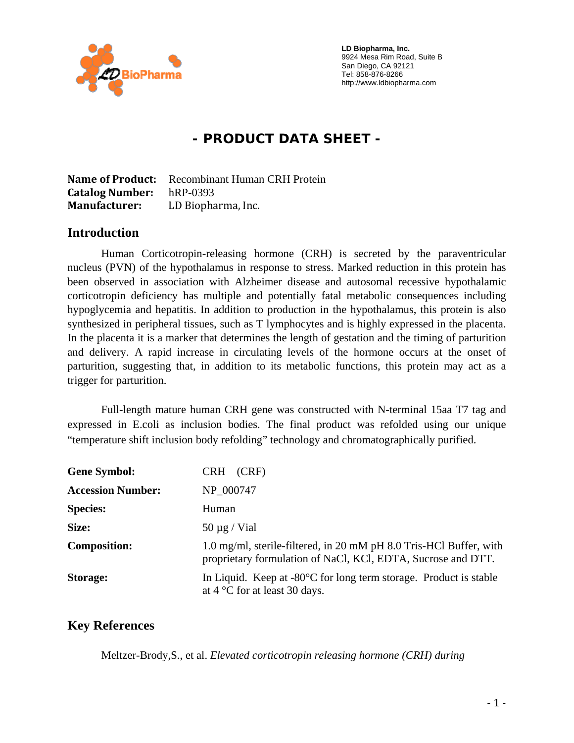

 **LD Biopharma, Inc.**  9924 Mesa Rim Road, Suite B San Diego, CA 92121 Tel: 858-876-8266 http://www.ldbiopharma.com

# **- PRODUCT DATA SHEET -**

**Name of Product:** Recombinant Human CRH Protein **Catalog Number:** hRP-0393 **Manufacturer:** LD Biopharma, Inc.

#### **Introduction**

Human Corticotropin-releasing hormone (CRH) is secreted by the paraventricular nucleus (PVN) of the hypothalamus in response to stress. Marked reduction in this protein has been observed in association with Alzheimer disease and autosomal recessive hypothalamic corticotropin deficiency has multiple and potentially fatal metabolic consequences including hypoglycemia and hepatitis. In addition to production in the hypothalamus, this protein is also synthesized in peripheral tissues, such as T lymphocytes and is highly expressed in the placenta. In the placenta it is a marker that determines the length of gestation and the timing of parturition and delivery. A rapid increase in circulating levels of the hormone occurs at the onset of parturition, suggesting that, in addition to its metabolic functions, this protein may act as a trigger for parturition.

Full-length mature human CRH gene was constructed with N-terminal 15aa T7 tag and expressed in E.coli as inclusion bodies. The final product was refolded using our unique "temperature shift inclusion body refolding" technology and chromatographically purified.

| <b>Gene Symbol:</b>      | CRH (CRF)                                                                                                                          |
|--------------------------|------------------------------------------------------------------------------------------------------------------------------------|
| <b>Accession Number:</b> | NP 000747                                                                                                                          |
| <b>Species:</b>          | Human                                                                                                                              |
| Size:                    | $50 \mu g$ / Vial                                                                                                                  |
| <b>Composition:</b>      | 1.0 mg/ml, sterile-filtered, in 20 mM pH 8.0 Tris-HCl Buffer, with<br>proprietary formulation of NaCl, KCl, EDTA, Sucrose and DTT. |
| Storage:                 | In Liquid. Keep at $-80^{\circ}$ C for long term storage. Product is stable<br>at $4^{\circ}$ C for at least 30 days.              |

### **Key References**

Meltzer-Brody,S., et al. *Elevated corticotropin releasing hormone (CRH) during*